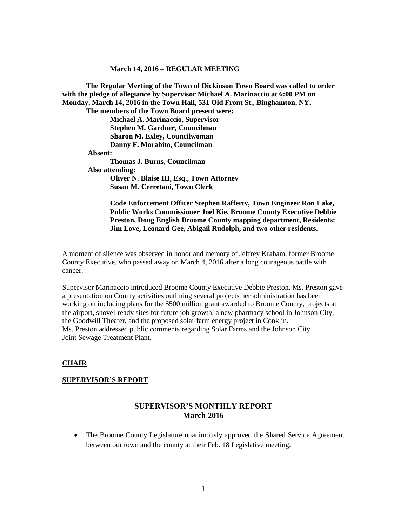#### **March 14, 2016 – REGULAR MEETING**

**The Regular Meeting of the Town of Dickinson Town Board was called to order with the pledge of allegiance by Supervisor Michael A. Marinaccio at 6:00 PM on Monday, March 14, 2016 in the Town Hall, 531 Old Front St., Binghamton, NY. The members of the Town Board present were: Michael A. Marinaccio, Supervisor Stephen M. Gardner, Councilman Sharon M. Exley, Councilwoman Danny F. Morabito, Councilman Absent: Thomas J. Burns, Councilman Also attending: Oliver N. Blaise III, Esq., Town Attorney Susan M. Cerretani, Town Clerk**

**Code Enforcement Officer Stephen Rafferty, Town Engineer Ron Lake, Public Works Commissioner Joel Kie, Broome County Executive Debbie Preston, Doug English Broome County mapping department, Residents: Jim Love, Leonard Gee, Abigail Rudolph, and two other residents.**

A moment of silence was observed in honor and memory of Jeffrey Kraham, former Broome County Executive, who passed away on March 4, 2016 after a long courageous battle with cancer.

Supervisor Marinaccio introduced Broome County Executive Debbie Preston. Ms. Preston gave a presentation on County activities outlining several projects her administration has been working on including plans for the \$500 million grant awarded to Broome County, projects at the airport, shovel-ready sites for future job growth, a new pharmacy school in Johnson City, the Goodwill Theater, and the proposed solar farm energy project in Conklin. Ms. Preston addressed public comments regarding Solar Farms and the Johnson City Joint Sewage Treatment Plant.

#### **CHAIR**

#### **SUPERVISOR'S REPORT**

# **SUPERVISOR'S MONTHLY REPORT March 2016**

• The Broome County Legislature unanimously approved the Shared Service Agreement between our town and the county at their Feb. 18 Legislative meeting.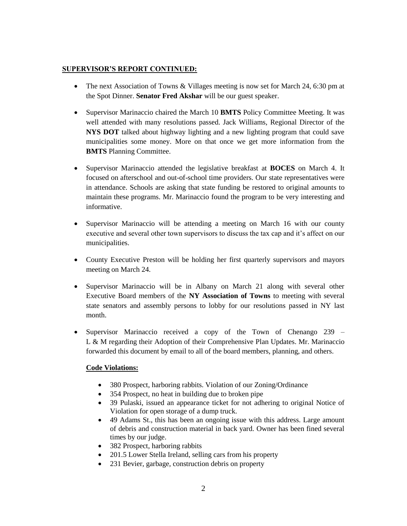### **SUPERVISOR'S REPORT CONTINUED:**

- The next Association of Towns & Villages meeting is now set for March 24, 6:30 pm at the Spot Dinner. **Senator Fred Akshar** will be our guest speaker.
- Supervisor Marinaccio chaired the March 10 **BMTS** Policy Committee Meeting. It was well attended with many resolutions passed. Jack Williams, Regional Director of the **NYS DOT** talked about highway lighting and a new lighting program that could save municipalities some money. More on that once we get more information from the **BMTS** Planning Committee.
- Supervisor Marinaccio attended the legislative breakfast at **BOCES** on March 4. It focused on afterschool and out-of-school time providers. Our state representatives were in attendance. Schools are asking that state funding be restored to original amounts to maintain these programs. Mr. Marinaccio found the program to be very interesting and informative.
- Supervisor Marinaccio will be attending a meeting on March 16 with our county executive and several other town supervisors to discuss the tax cap and it's affect on our municipalities.
- County Executive Preston will be holding her first quarterly supervisors and mayors meeting on March 24.
- Supervisor Marinaccio will be in Albany on March 21 along with several other Executive Board members of the **NY Association of Towns** to meeting with several state senators and assembly persons to lobby for our resolutions passed in NY last month.
- Supervisor Marinaccio received a copy of the Town of Chenango 239 L & M regarding their Adoption of their Comprehensive Plan Updates. Mr. Marinaccio forwarded this document by email to all of the board members, planning, and others.

# **Code Violations:**

- 380 Prospect, harboring rabbits. Violation of our Zoning/Ordinance
- 354 Prospect, no heat in building due to broken pipe
- 39 Pulaski, issued an appearance ticket for not adhering to original Notice of Violation for open storage of a dump truck.
- 49 Adams St., this has been an ongoing issue with this address. Large amount of debris and construction material in back yard. Owner has been fined several times by our judge.
- 382 Prospect, harboring rabbits
- 201.5 Lower Stella Ireland, selling cars from his property
- 231 Bevier, garbage, construction debris on property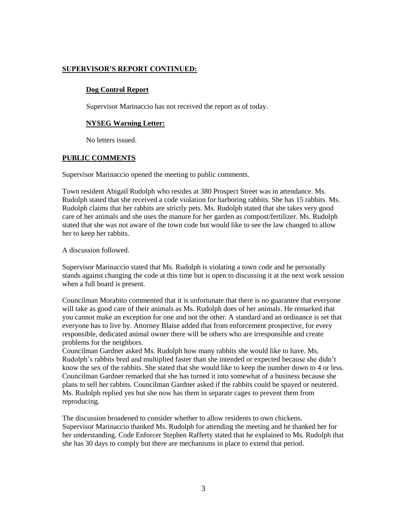### **SUPERVISOR'S REPORT CONTINUED:**

### **Dog Control Report**

Supervisor Marinaccio has not received the report as of today.

#### **NYSEG Warning Letter:**

No letters issued.

#### **PUBLIC COMMENTS**

Supervisor Marinaccio opened the meeting to public comments.

Town resident Abigail Rudolph who resides at 380 Prospect Street was in attendance. Ms. Rudolph stated that she received a code violation for harboring rabbits. She has 15 rabbits. Ms. Rudolph claims that her rabbits are strictly pets. Ms. Rudolph stated that she takes very good care of her animals and she uses the manure for her garden as compost/fertilizer. Ms. Rudolph stated that she was not aware of the town code but would like to see the law changed to allow her to keep her rabbits.

A discussion followed.

Supervisor Marinaccio stated that Ms. Rudolph is violating a town code and he personally stands against changing the code at this time but is open to discussing it at the next work session when a full board is present.

Councilman Morabito commented that it is unfortunate that there is no guarantee that everyone will take as good care of their animals as Ms. Rudolph does of her animals. He remarked that you cannot make an exception for one and not the other. A standard and an ordinance is set that everyone has to live by. Attorney Blaise added that from enforcement prospective, for every responsible, dedicated animal owner there will be others who are irresponsible and create problems for the neighbors.

Councilman Gardner asked Ms. Rudolph how many rabbits she would like to have. Ms. Rudolph's rabbits bred and multiplied faster than she intended or expected because she didn't know the sex of the rabbits. She stated that she would like to keep the number down to 4 or less. Councilman Gardner remarked that she has turned it into somewhat of a business because she plans to sell her rabbits. Councilman Gardner asked if the rabbits could be spayed or neutered. Ms. Rudolph replied yes but she now has them in separate cages to prevent them from reproducing.

The discussion broadened to consider whether to allow residents to own chickens. Supervisor Marinaccio thanked Ms. Rudolph for attending the meeting and he thanked her for her understanding. Code Enforcer Stephen Rafferty stated that he explained to Ms. Rudolph that she has 30 days to comply but there are mechanisms in place to extend that period.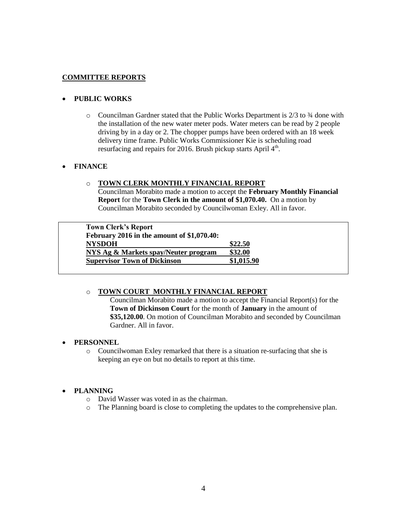# **COMMITTEE REPORTS**

# **PUBLIC WORKS**

 $\circ$  Councilman Gardner stated that the Public Works Department is 2/3 to  $\frac{3}{4}$  done with the installation of the new water meter pods. Water meters can be read by 2 people driving by in a day or 2. The chopper pumps have been ordered with an 18 week delivery time frame. Public Works Commissioner Kie is scheduling road resurfacing and repairs for 2016. Brush pickup starts April  $4<sup>th</sup>$ .

# **FINANCE**

### o **TOWN CLERK MONTHLY FINANCIAL REPORT**

Councilman Morabito made a motion to accept the **February Monthly Financial Report** for the **Town Clerk in the amount of \$1,070.40.** On a motion by Councilman Morabito seconded by Councilwoman Exley. All in favor.

| <b>Town Clerk's Report</b><br>February 2016 in the amount of \$1,070.40: |            |
|--------------------------------------------------------------------------|------------|
| <b>NYSDOH</b>                                                            | \$22.50    |
| NYS Ag & Markets spay/Neuter program                                     | \$32.00    |
| <b>Supervisor Town of Dickinson</b>                                      | \$1,015.90 |

### o **TOWN COURT MONTHLY FINANCIAL REPORT**

Councilman Morabito made a motion to accept the Financial Report(s) for the **Town of Dickinson Court** for the month of **January** in the amount of **\$35,120.00**. On motion of Councilman Morabito and seconded by Councilman Gardner. All in favor.

### **PERSONNEL**

o Councilwoman Exley remarked that there is a situation re-surfacing that she is keeping an eye on but no details to report at this time.

### **PLANNING**

- o David Wasser was voted in as the chairman.
- o The Planning board is close to completing the updates to the comprehensive plan.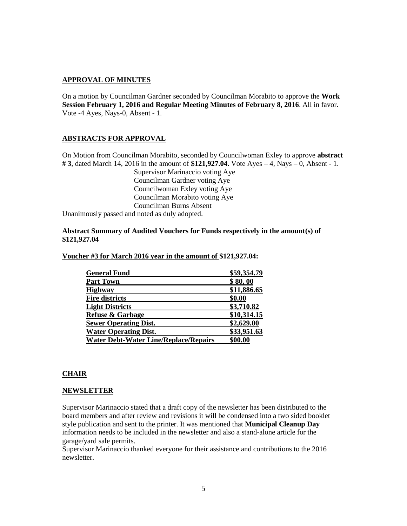### **APPROVAL OF MINUTES**

On a motion by Councilman Gardner seconded by Councilman Morabito to approve the **Work Session February 1, 2016 and Regular Meeting Minutes of February 8, 2016**. All in favor. Vote -4 Ayes, Nays-0, Absent - 1.

### **ABSTRACTS FOR APPROVAL**

On Motion from Councilman Morabito, seconded by Councilwoman Exley to approve **abstract # 3**, dated March 14, 2016 in the amount of **\$121,927.04.** Vote Ayes – 4, Nays – 0, Absent - 1.

Supervisor Marinaccio voting Aye Councilman Gardner voting Aye Councilwoman Exley voting Aye Councilman Morabito voting Aye Councilman Burns Absent Unanimously passed and noted as duly adopted.

**Abstract Summary of Audited Vouchers for Funds respectively in the amount(s) of \$121,927.04**

#### **Voucher #3 for March 2016 year in the amount of \$121,927.04:**

| \$59,354.79 |  |
|-------------|--|
| \$80,00     |  |
| \$11,886.65 |  |
| \$0.00      |  |
| \$3,710.82  |  |
| \$10,314.15 |  |
| \$2,629.00  |  |
| \$33,951.63 |  |
| \$00.00     |  |
|             |  |

### **CHAIR**

#### **NEWSLETTER**

Supervisor Marinaccio stated that a draft copy of the newsletter has been distributed to the board members and after review and revisions it will be condensed into a two sided booklet style publication and sent to the printer. It was mentioned that **Municipal Cleanup Day** information needs to be included in the newsletter and also a stand-alone article for the garage/yard sale permits.

Supervisor Marinaccio thanked everyone for their assistance and contributions to the 2016 newsletter.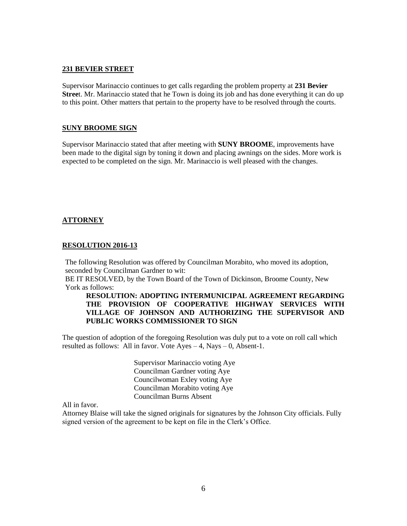#### **231 BEVIER STREET**

Supervisor Marinaccio continues to get calls regarding the problem property at **231 Bevier Stree**t. Mr. Marinaccio stated that he Town is doing its job and has done everything it can do up to this point. Other matters that pertain to the property have to be resolved through the courts.

#### **SUNY BROOME SIGN**

Supervisor Marinaccio stated that after meeting with **SUNY BROOME**, improvements have been made to the digital sign by toning it down and placing awnings on the sides. More work is expected to be completed on the sign. Mr. Marinaccio is well pleased with the changes.

### **ATTORNEY**

#### **RESOLUTION 2016-13**

The following Resolution was offered by Councilman Morabito, who moved its adoption, seconded by Councilman Gardner to wit:

BE IT RESOLVED, by the Town Board of the Town of Dickinson, Broome County, New York as follows:

### **RESOLUTION: ADOPTING INTERMUNICIPAL AGREEMENT REGARDING THE PROVISION OF COOPERATIVE HIGHWAY SERVICES WITH VILLAGE OF JOHNSON AND AUTHORIZING THE SUPERVISOR AND PUBLIC WORKS COMMISSIONER TO SIGN**

The question of adoption of the foregoing Resolution was duly put to a vote on roll call which resulted as follows: All in favor. Vote  $Ayes - 4$ , Nays  $- 0$ , Absent-1.

> Supervisor Marinaccio voting Aye Councilman Gardner voting Aye Councilwoman Exley voting Aye Councilman Morabito voting Aye Councilman Burns Absent

All in favor.

Attorney Blaise will take the signed originals for signatures by the Johnson City officials. Fully signed version of the agreement to be kept on file in the Clerk's Office.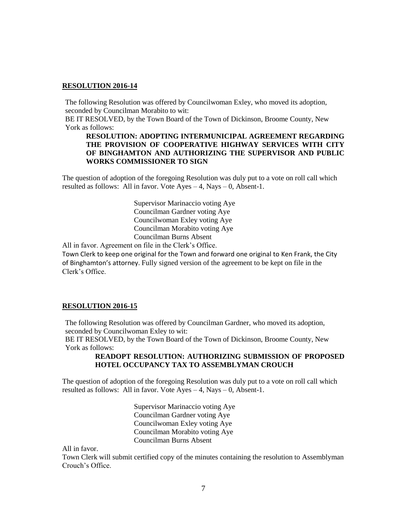### **RESOLUTION 2016-14**

The following Resolution was offered by Councilwoman Exley, who moved its adoption, seconded by Councilman Morabito to wit:

BE IT RESOLVED, by the Town Board of the Town of Dickinson, Broome County, New York as follows:

### **RESOLUTION: ADOPTING INTERMUNICIPAL AGREEMENT REGARDING THE PROVISION OF COOPERATIVE HIGHWAY SERVICES WITH CITY OF BINGHAMTON AND AUTHORIZING THE SUPERVISOR AND PUBLIC WORKS COMMISSIONER TO SIGN**

The question of adoption of the foregoing Resolution was duly put to a vote on roll call which resulted as follows: All in favor. Vote  $Ayes - 4$ , Nays  $- 0$ , Absent-1.

> Supervisor Marinaccio voting Aye Councilman Gardner voting Aye Councilwoman Exley voting Aye Councilman Morabito voting Aye Councilman Burns Absent

All in favor. Agreement on file in the Clerk's Office.

Town Clerk to keep one original for the Town and forward one original to Ken Frank, the City of Binghamton's attorney. Fully signed version of the agreement to be kept on file in the Clerk's Office.

#### **RESOLUTION 2016-15**

The following Resolution was offered by Councilman Gardner, who moved its adoption, seconded by Councilwoman Exley to wit:

BE IT RESOLVED, by the Town Board of the Town of Dickinson, Broome County, New York as follows:

### **READOPT RESOLUTION: AUTHORIZING SUBMISSION OF PROPOSED HOTEL OCCUPANCY TAX TO ASSEMBLYMAN CROUCH**

The question of adoption of the foregoing Resolution was duly put to a vote on roll call which resulted as follows: All in favor. Vote  $Ayes - 4$ , Nays  $- 0$ , Absent-1.

> Supervisor Marinaccio voting Aye Councilman Gardner voting Aye Councilwoman Exley voting Aye Councilman Morabito voting Aye Councilman Burns Absent

All in favor.

Town Clerk will submit certified copy of the minutes containing the resolution to Assemblyman Crouch's Office.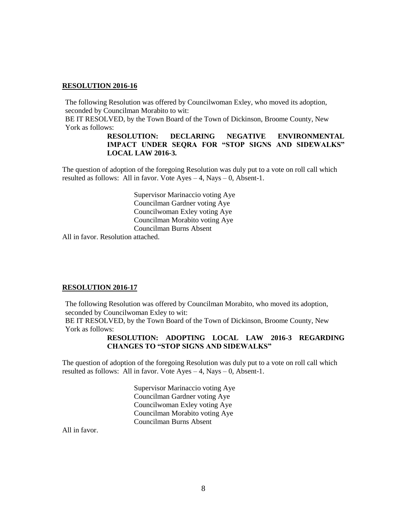### **RESOLUTION 2016-16**

The following Resolution was offered by Councilwoman Exley, who moved its adoption, seconded by Councilman Morabito to wit:

BE IT RESOLVED, by the Town Board of the Town of Dickinson, Broome County, New York as follows:

### **RESOLUTION: DECLARING NEGATIVE ENVIRONMENTAL IMPACT UNDER SEQRA FOR "STOP SIGNS AND SIDEWALKS" LOCAL LAW 2016-3.**

The question of adoption of the foregoing Resolution was duly put to a vote on roll call which resulted as follows: All in favor. Vote  $Ayes - 4$ , Nays  $- 0$ , Absent-1.

> Supervisor Marinaccio voting Aye Councilman Gardner voting Aye Councilwoman Exley voting Aye Councilman Morabito voting Aye Councilman Burns Absent

All in favor. Resolution attached.

#### **RESOLUTION 2016-17**

The following Resolution was offered by Councilman Morabito, who moved its adoption, seconded by Councilwoman Exley to wit:

BE IT RESOLVED, by the Town Board of the Town of Dickinson, Broome County, New York as follows:

### **RESOLUTION: ADOPTING LOCAL LAW 2016-3 REGARDING CHANGES TO "STOP SIGNS AND SIDEWALKS"**

The question of adoption of the foregoing Resolution was duly put to a vote on roll call which resulted as follows: All in favor. Vote  $Ayes - 4$ , Nays – 0, Absent-1.

> Supervisor Marinaccio voting Aye Councilman Gardner voting Aye Councilwoman Exley voting Aye Councilman Morabito voting Aye Councilman Burns Absent

All in favor.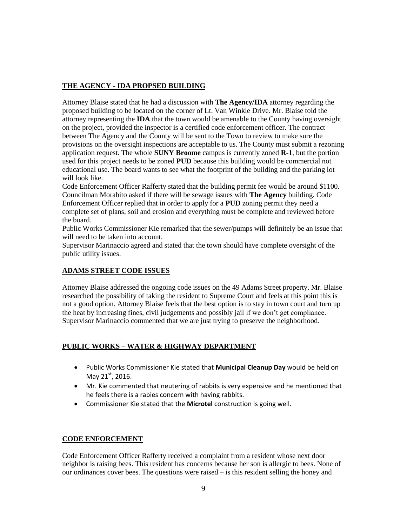# **THE AGENCY - IDA PROPSED BUILDING**

Attorney Blaise stated that he had a discussion with **The Agency/IDA** attorney regarding the proposed building to be located on the corner of Lt. Van Winkle Drive. Mr. Blaise told the attorney representing the **IDA** that the town would be amenable to the County having oversight on the project, provided the inspector is a certified code enforcement officer. The contract between The Agency and the County will be sent to the Town to review to make sure the provisions on the oversight inspections are acceptable to us. The County must submit a rezoning application request. The whole **SUNY Broome** campus is currently zoned **R-1**, but the portion used for this project needs to be zoned **PUD** because this building would be commercial not educational use. The board wants to see what the footprint of the building and the parking lot will look like.

Code Enforcement Officer Rafferty stated that the building permit fee would be around \$1100. Councilman Morabito asked if there will be sewage issues with **The Agency** building. Code Enforcement Officer replied that in order to apply for a **PUD** zoning permit they need a complete set of plans, soil and erosion and everything must be complete and reviewed before the board.

Public Works Commissioner Kie remarked that the sewer/pumps will definitely be an issue that will need to be taken into account.

Supervisor Marinaccio agreed and stated that the town should have complete oversight of the public utility issues.

# **ADAMS STREET CODE ISSUES**

Attorney Blaise addressed the ongoing code issues on the 49 Adams Street property. Mr. Blaise researched the possibility of taking the resident to Supreme Court and feels at this point this is not a good option. Attorney Blaise feels that the best option is to stay in town court and turn up the heat by increasing fines, civil judgements and possibly jail if we don't get compliance. Supervisor Marinaccio commented that we are just trying to preserve the neighborhood.

### **PUBLIC WORKS – WATER & HIGHWAY DEPARTMENT**

- Public Works Commissioner Kie stated that **Municipal Cleanup Day** would be held on May  $21^{st}$ , 2016.
- Mr. Kie commented that neutering of rabbits is very expensive and he mentioned that he feels there is a rabies concern with having rabbits.
- Commissioner Kie stated that the **Microtel** construction is going well.

### **CODE ENFORCEMENT**

Code Enforcement Officer Rafferty received a complaint from a resident whose next door neighbor is raising bees. This resident has concerns because her son is allergic to bees. None of our ordinances cover bees. The questions were raised – is this resident selling the honey and